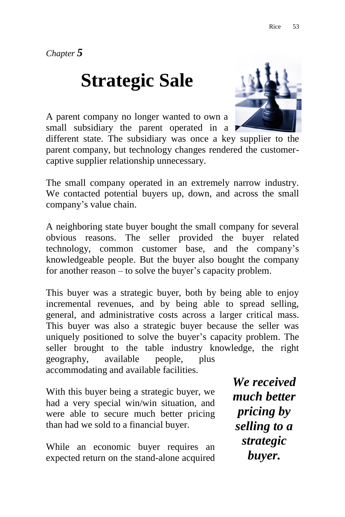*Chapter 5*

## **Strategic Sale**

A parent company no longer wanted to own a small subsidiary the parent operated in a

different state. The subsidiary was once a key supplier to the parent company, but technology changes rendered the customercaptive supplier relationship unnecessary.

The small company operated in an extremely narrow industry. We contacted potential buyers up, down, and across the small company"s value chain.

A neighboring state buyer bought the small company for several obvious reasons. The seller provided the buyer related technology, common customer base, and the company"s knowledgeable people. But the buyer also bought the company for another reason – to solve the buyer's capacity problem.

This buyer was a strategic buyer, both by being able to enjoy incremental revenues, and by being able to spread selling, general, and administrative costs across a larger critical mass. This buyer was also a strategic buyer because the seller was uniquely positioned to solve the buyer"s capacity problem. The seller brought to the table industry knowledge, the right geography, available people, plus accommodating and available facilities.

With this buyer being a strategic buyer, we had a very special win/win situation, and were able to secure much better pricing than had we sold to a financial buyer.

While an economic buyer requires an expected return on the stand-alone acquired

*We received much better pricing by selling to a strategic buyer.*